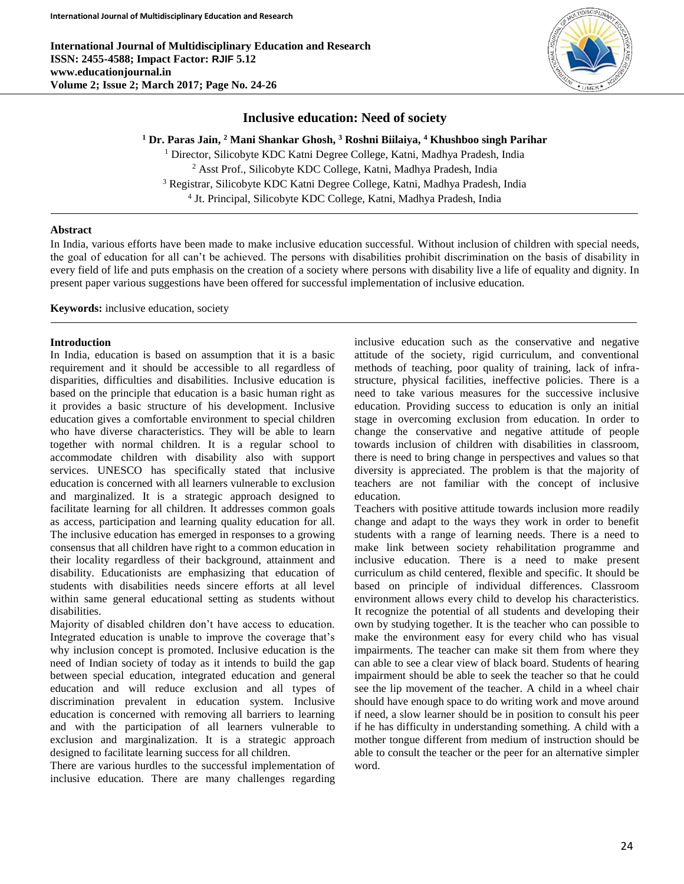**International Journal of Multidisciplinary Education and Research ISSN: 2455-4588; Impact Factor: RJIF 5.12 www.educationjournal.in Volume 2; Issue 2; March 2017; Page No. 24-26**



# **Inclusive education: Need of society**

**<sup>1</sup> Dr. Paras Jain, <sup>2</sup> Mani Shankar Ghosh, <sup>3</sup> Roshni Biilaiya, <sup>4</sup> Khushboo singh Parihar**

 Director, Silicobyte KDC Katni Degree College, Katni, Madhya Pradesh, India Asst Prof., Silicobyte KDC College, Katni, Madhya Pradesh, India Registrar, Silicobyte KDC Katni Degree College, Katni, Madhya Pradesh, India Jt. Principal, Silicobyte KDC College, Katni, Madhya Pradesh, India

### **Abstract**

In India, various efforts have been made to make inclusive education successful. Without inclusion of children with special needs, the goal of education for all can't be achieved. The persons with disabilities prohibit discrimination on the basis of disability in every field of life and puts emphasis on the creation of a society where persons with disability live a life of equality and dignity. In present paper various suggestions have been offered for successful implementation of inclusive education.

**Keywords:** inclusive education, society

#### **Introduction**

In India, education is based on assumption that it is a basic requirement and it should be accessible to all regardless of disparities, difficulties and disabilities. Inclusive education is based on the principle that education is a basic human right as it provides a basic structure of his development. Inclusive education gives a comfortable environment to special children who have diverse characteristics. They will be able to learn together with normal children. It is a regular school to accommodate children with disability also with support services. UNESCO has specifically stated that inclusive education is concerned with all learners vulnerable to exclusion and marginalized. It is a strategic approach designed to facilitate learning for all children. It addresses common goals as access, participation and learning quality education for all. The inclusive education has emerged in responses to a growing consensus that all children have right to a common education in their locality regardless of their background, attainment and disability. Educationists are emphasizing that education of students with disabilities needs sincere efforts at all level within same general educational setting as students without disabilities.

Majority of disabled children don't have access to education. Integrated education is unable to improve the coverage that's why inclusion concept is promoted. Inclusive education is the need of Indian society of today as it intends to build the gap between special education, integrated education and general education and will reduce exclusion and all types of discrimination prevalent in education system. Inclusive education is concerned with removing all barriers to learning and with the participation of all learners vulnerable to exclusion and marginalization. It is a strategic approach designed to facilitate learning success for all children.

There are various hurdles to the successful implementation of inclusive education. There are many challenges regarding inclusive education such as the conservative and negative attitude of the society, rigid curriculum, and conventional methods of teaching, poor quality of training, lack of infrastructure, physical facilities, ineffective policies. There is a need to take various measures for the successive inclusive education. Providing success to education is only an initial stage in overcoming exclusion from education. In order to change the conservative and negative attitude of people towards inclusion of children with disabilities in classroom, there is need to bring change in perspectives and values so that diversity is appreciated. The problem is that the majority of teachers are not familiar with the concept of inclusive education.

Teachers with positive attitude towards inclusion more readily change and adapt to the ways they work in order to benefit students with a range of learning needs. There is a need to make link between society rehabilitation programme and inclusive education. There is a need to make present curriculum as child centered, flexible and specific. It should be based on principle of individual differences. Classroom environment allows every child to develop his characteristics. It recognize the potential of all students and developing their own by studying together. It is the teacher who can possible to make the environment easy for every child who has visual impairments. The teacher can make sit them from where they can able to see a clear view of black board. Students of hearing impairment should be able to seek the teacher so that he could see the lip movement of the teacher. A child in a wheel chair should have enough space to do writing work and move around if need, a slow learner should be in position to consult his peer if he has difficulty in understanding something. A child with a mother tongue different from medium of instruction should be able to consult the teacher or the peer for an alternative simpler word.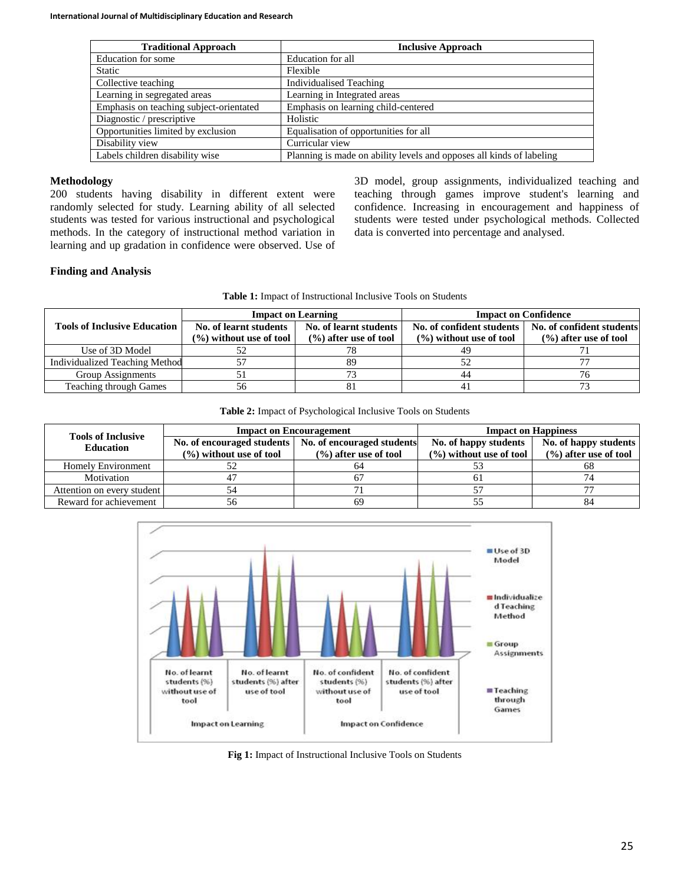| <b>Traditional Approach</b>             | <b>Inclusive Approach</b>                                            |  |
|-----------------------------------------|----------------------------------------------------------------------|--|
| Education for some                      | Education for all                                                    |  |
| <b>Static</b>                           | Flexible                                                             |  |
| Collective teaching                     | <b>Individualised Teaching</b>                                       |  |
| Learning in segregated areas            | Learning in Integrated areas                                         |  |
| Emphasis on teaching subject-orientated | Emphasis on learning child-centered                                  |  |
| Diagnostic / prescriptive               | Holistic                                                             |  |
| Opportunities limited by exclusion      | Equalisation of opportunities for all                                |  |
| Disability view                         | Curricular view                                                      |  |
| Labels children disability wise         | Planning is made on ability levels and opposes all kinds of labeling |  |

# **Methodology**

200 students having disability in different extent were randomly selected for study. Learning ability of all selected students was tested for various instructional and psychological methods. In the category of instructional method variation in learning and up gradation in confidence were observed. Use of

3D model, group assignments, individualized teaching and teaching through games improve student's learning and confidence. Increasing in encouragement and happiness of students were tested under psychological methods. Collected data is converted into percentage and analysed.

# **Finding and Analysis**

**Table 1:** Impact of Instructional Inclusive Tools on Students

|                                     | <b>Impact on Learning</b>                                                |                                                     | <b>Impact on Confidence</b>                             |                                                        |
|-------------------------------------|--------------------------------------------------------------------------|-----------------------------------------------------|---------------------------------------------------------|--------------------------------------------------------|
| <b>Tools of Inclusive Education</b> | No. of learnt students<br>$\left(\frac{9}{6}\right)$ without use of tool | No. of learnt students<br>$(\% )$ after use of tool | No. of confident students<br>$(\%)$ without use of tool | No. of confident students<br>$(\% )$ after use of tool |
| Use of 3D Model                     |                                                                          |                                                     |                                                         |                                                        |
| Individualized Teaching Method      |                                                                          | 89                                                  |                                                         |                                                        |
| Group Assignments                   |                                                                          | 73                                                  | 44                                                      |                                                        |
| <b>Teaching through Games</b>       | 56                                                                       | 81                                                  | -4.                                                     |                                                        |

**Table 2:** Impact of Psychological Inclusive Tools on Students

| <b>Tools of Inclusive</b><br><b>Education</b> | <b>Impact on Encouragement</b>      |                                                                                      | <b>Impact on Happiness</b>                           |                                                  |
|-----------------------------------------------|-------------------------------------|--------------------------------------------------------------------------------------|------------------------------------------------------|--------------------------------------------------|
|                                               | $(\frac{6}{6})$ without use of tool | No. of encouraged students   No. of encouraged students<br>$(\% )$ after use of tool | No. of happy students<br>$(\% )$ without use of tool | No. of happy students<br>$(%)$ after use of tool |
| <b>Homely Environment</b>                     |                                     | 64                                                                                   |                                                      | 68                                               |
| Motivation                                    |                                     |                                                                                      | ωI                                                   |                                                  |
| Attention on every student                    |                                     |                                                                                      |                                                      |                                                  |
| Reward for achievement                        |                                     | 69                                                                                   |                                                      | 84                                               |



**Fig 1:** Impact of Instructional Inclusive Tools on Students